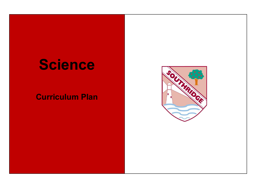# **Science**

# **Curriculum Plan**

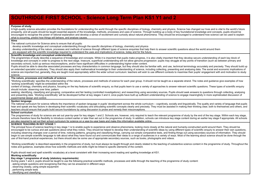# **SOUTHRIDGE FIRST SCHOOL - Science Long Term Plan KS1 Y1 and 2**

# **Purpose of study**

A high-quality science education provides the foundations for understanding the world through the specific disciplines of biology, chemistry and physics. Science has changed our lives and is vital to the world's future prosperity, and all pupils should be taught essential aspects of the knowledge, methods, processes and uses of science. Through building up a body of key foundational knowledge and concepts, pupils should be encouraged to recognise the power of rational explanation and develop a sense of excitement and curiosity about natural phenomena. They should be encouraged to understand how science can be used to explain what is occurring, predict how things will behave, and analyse causes.

# **Aims**

The national curriculum for Science aims to ensure that all pupils:

- . develop scientific knowledge and conceptual understanding through the specific disciplines of biology, chemistry and physics
- . develop understanding of the nature, processes and methods of science through different types of science enquiries that help them to answer scientific questions about the world around them
- . are equipped with the scientific knowledge required to understand the uses and implications of science, today and for the future.

# **Scientific knowledge and conceptual understanding**

The programmes of study describe a sequence of knowledge and concepts. While it is important that pupils make progress, it is also vitally important that they develop secure understanding of each key block of knowledge and concepts in order to progress to the next stage. Insecure, superficial understanding will not allow genuine progression: pupils may struggle at key points of transition (such as between primary and secondary school), build up serious misconceptions, and/or have significant difficulties in understanding higher-order content.

Pupils should be able to describe associated processes and key characteristics in common language, but they should also be familiar with, and use, technical terminology accurately and precisely. They should build up an extended specialist vocabulary. They should also apply their mathematical knowledge to their understanding of science, including collecting, presenting and analysing data. The social and economic implications of science are important but, generally, they are taught most appropriately within the wider school curriculum: teachers will wish to use different contexts to maximise their pupils' engagement with and motivation to study science.

# **The nature, processes and methods of science**

**'**Working scientifically' specifies the understanding of the nature, processes and methods of science for each year group. It should not be taught as a separate strand. The notes and guidance give examples of how 'working scientifically' might be embedded within the

content of biology, chemistry and physics, focusing on the key features of scientific enquiry, so that pupils learn to use a variety of approaches to answer relevant scientific questions. These types of scientific enquiry should include: observing over time; pattern

seeking; identifying, classifying and grouping; comparative and fair testing (controlled investigations); and researching using secondary sources. Pupils should seek answers to questions through collecting, analysing and presenting data. 'Working scientifically' will be developed further at key stages 3 and 4, once pupils have built up sufficient understanding of science to engage meaningfully in more sophisticated discussion of experimental design and control.

# **Spoken language**

The national curriculum for science reflects the importance of spoken language in pupils' development across the whole curriculum – cognitively, socially and linguistically. The quality and variety of language that pupils hear and speak are key factors in developing their scientific vocabulary and articulating scientific concepts clearly and precisely. They must be assisted in making their thinking clear, both to themselves and others, and teachers should ensure that pupils build secure foundations by using discussion to probe and remedy their misconceptions.

# **School curriculum**

The programmes of study for science are set out year-by-year for key stages 1 and 2. Schools are, however, only required to teach the relevant programme of study by the end of the key stage. Within each key stage, schools therefore have the flexibility to introduce content earlier or later than set out in the programme of study. In addition, schools can introduce key stage content during an earlier key stage if appropriate. All scho are also required to set out their school curriculum for science on a year-by-year basis and make this information available online.

# **SCIENCE TEACHING IN KEY STAGE 1**

The principal focus of science teaching in key stage 1 is to enable pupils to experience and observe phenomena, looking more closely at the natural and humanly-constructed world around them. They should be encouraged to be curious and ask questions about what they notice. They should be helped to develop their understanding of scientific ideas by using different types of scientific enquiry to answer their own questions, including observing changes over a period of time, noticing patterns, grouping and classifying things, carrying out simple comparative tests, and finding things out using secondary sources of information. They should begin to use simple scientific language to talk about what they have found out and communicate their ideas to a range of audiences in a variety of ways. Most of the learning about science should be done through the use of first-hand practical experiences, but there should also be some use of appropriate secondary sources, such as books, photographs and videos.

'Working scientifically' is described separately in the programme of study, but must always be taught through and clearly related to the teaching of substantive science content in the programme of study. Throughout the notes and guidance, examples show how scientific methods and skills might be linked to specific elements of the content.

Pupils should read and spell scientific vocabulary at a level consistent with their increasing word reading and spelling knowledge at KS1.

# **Working scientifically**

# **Key stage 1 programme of study (statutory requirements)**

During years 1 and 2, pupils should be taught to use the following practical scientific methods, processes and skills through the teaching of the programme of study content:

. asking simple questions and recognising that they can be answered in different ways

- . observing closely, using simple equipment
- . performing simple tests
- . identifying and classifying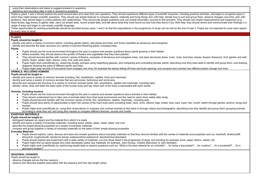using their observations and ideas to suggest answers to questions

. gathering and recording data to help in answering questions.

Pupils in years 1 and 2 should explore the world around them and raise their own questions. They should experience different types of scientific enquiries, including practical activities, and begin to recognise ways in which they might answer scientific questions. They should use simple features to compare objects, materials and living things and, with help, decide how to sort and group them, observe changes over time, and, with guidance, they should begin to notice patterns and relationships. They should ask people questions and use simple secondary sources to find answers. They should use simple measurements and equipment (e.g. hand lenses, egg timers) to gather data, carry out simple tests, record simple data, and talk about what they have found out and how they found it out. With help, they should record and communicate their findings in a range of ways and begin to use simple scientific language.

These opportunities for working scientifically should be provided across years 1 and 2 so that the expectations in the programme of study can be met by the end of year 2. Pupils are not expected to cover each aspect for every area of study.

# **Subject content for Year 1**

# **PLANTS**

# **Pupils should be taught to:**

. identify and name a variety of common plants, including garden plants, wild plants and trees, and those classified as deciduous and evergreen

. identify and describe the basic structure of a variety of common flowering plants, including trees.

# **Plants**

- Pupils should use the local environment throughout the year to explore and answer questions about plants growing in their habitat.
- Where possible, they should observe the growth of flowers and vegetables that they have planted.
- They should become familiar with common names of flowers, examples of deciduous and evergreen trees, and plant structures (trees: trunk, roots, branches, leaves, flowers (blossom), fruit; garden and wild plants: flower, petals, stem, leaves, roots, fruit, bulb and seed).
- Pupils might work scientifically by: observing closely, perhaps using magnifying glasses, and comparing and contrasting familiar plants; describing how they were able to identify and group them, and drawing diagrams showing the parts of different plants and trees.

Pupils might keep records of how plants have changed over time, for example the leaves falling off trees and buds opening; and compare and contrast how different plants change over time.

# **ANIMALS, INCLUDING HUMANS**

# **Pupils should be taught to:**

- **.** identify and name a variety of common animals including, fish, amphibians, reptiles, birds and mammals.
- . identify and name a variety of common animals that are carnivores, herbivores and omnivores
- . describe and compare the structure of a variety of common animals (birds, fish, amphibians, reptiles and mammals, including pets)
- . identify, name, draw and label the basic parts of the human body and say which part of the body is associated with each sense.

# **Animals, including humans**

- Pupils should use the local environment throughout the year to explore and answer questions about animals in their habitat.
- They should understand how to take care of animals taken from their local environment and the need to return them safely after study.
- Pupils should become familiar with the common names of birds, fish, amphibians, reptiles, mammals,, including pets.
- Pupils should have plenty of opportunities to learn the names of the main body parts (including head, neck, arms, elbows, legs, knees, face, ears, eyes, hair, mouth, teeth) through games, actions, songs and rhymes.
- Pupils might work scientifically by: using their observations to compare and contrast animals at first hand or through videos and photographs, describing how they identify and group them; grouping animals according to what they eat; and using their senses to compare different textures, sounds and smells.

# **EVERYDAY MATERIALS**

# **Pupils should be taught to:**

- . distinguish between an object and the material from which it is made
- . identify and name a variety of everyday materials, including wood, plastic, glass, metal, water, and rock
- . describe the simple physical properties of a variety of everyday materials
- . compare and group together a variety of everyday materials on the basis of their simple physical properties

# **Everyday Materials**

- $\bullet$  Pupils should explore, name, discuss and raise and answer questions about everyday materials so that they become familiar with the names of materials and properties such as: hard/soft; stretchy/stiff; shiny/dull; rough/smooth; bendy/not bendy; waterproof/not waterproof; absorbent/not absorbent.
- Pupils should explore and experiment with a wide variety of materials, not only those listed in the programme of study, but including for example: brick, paper, fabrics, elastic, foil.
- Pupils might find out about people who have developed useful new materials, for example, John Dunlop, Charles Macintosh or John McAdam.
- Pupils might work scientifically by: performing simple tests to explore questions such as: 'What is the best material for an umbrella? ... for lining a dog basket? ... for curtains? ... for a bookshelf? ... for a gymnast's leotard?'

# **SEASONAL CHANGES**

Pupils should be taught to:

. observe changes across the four seasons

. observe and describe weather associated with the seasons and how day length varies.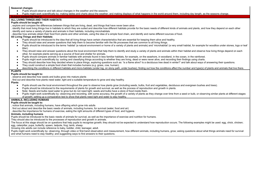#### **Seasonal changes**

- Pupils should observe and talk about changes in the weather and the seasons
- **●** Pupils might work scientifically by: making tables and charts about the weather; and making displays of what happens in the world around them, including day length, as the seasons change.

# **Subject content for Year 2**

# **ALL LIVING THINGS AND THEIR HABITATS**

# **Pupils should be taught to:**

**.** explore and compare the differences between things that are living, dead, and things that have never been alive

. identify that most living things live in habitats to which they are suited and describe how different habitats provide for the basic needs of different kinds of animals and plants, and how they depend on each other . identify and name a variety of plants and animals in their habitats, including microhabitats

. describe how animals obtain their food from plants and other animals, using the idea of a simple food chain, and identify and name different sources of food.

# **All Living Things and their Habitats**

- Pupils should be introduced to the idea that all living things have certain characteristics that are essential for keeping them alive and healthy.
- They should raise and answer questions that help them to become familiar with the life processes that are common to all living things.
- Pupils should be introduced to the terms 'habitat' (a natural environment or home of a variety of plants and animals) and 'microhabitat' (a very small habitat, for example for woodlice under stones, logs or leaf litter).
- They should raise and answer questions about the local environment that help them to identify and study a variety of plants and animals within their habitat and observe how living things depend on each other, for example plants serving as a source of food and shelter for animals.
- Pupils should compare animals in familiar habitats with animals found in less familiar habitats, for example, on the seashore, in woodland, in the ocean, in the rainforest.
- Pupils might work scientifically by: sorting and classifying things according to whether they are living, dead or were never alive, and recording their findings using charts.
- They should describe how they decided where to place things, exploring questions such as: 'Is a flame alive? Is a deciduous tree dead in winter?' and talk about ways of answering their questions.
- They could construct a simple food chain that includes humans (e.g. grass, cow, human);
- describing the conditions in different habitats and micro-habitats (under log, on stony path, under bushes); finding out how the conditions affect the number and type(s) of plants and animals that live there.

# **PLANTS**

# **Pupils should be taught to:**

- . observe and describe how seeds and bulbs grow into mature plants
- . find out and describe how plants need water, light and a suitable temperature to grow and stay healthy.

#### **Plants**

- Pupils should use the local environment throughout the year to observe how plants grow (including seeds, bulbs, fruit and vegetables, deciduous and evergreen bushes and trees).
- Pupils should be introduced to the requirements of plants for growth and survival, as well as the process of reproduction and growth in plants.
- Note: Seeds and bulbs need water to grow but do not need light; seeds and bulbs have a store of food inside them.
- **●** Pupils might work scientifically by: observing and recording, with some accuracy, the growth of a variety of plants as they change over time from a seed or bulb, or observing similar plants at different stages of growth; setting up a comparative test to show that plants need light and water to stay healthy.

# **ANIMALS, INCLUDING HUMANS**

# **Pupils should be taught to:**

- **.** notice that animals, including humans, have offspring which grow into adults
- . find out about and describe the basic needs of animals, including humans, for survival (water, food and air)
- . describe the importance for humans of exercise, eating the right amounts of different types of food, and hygiene.

# **Animals, including humans**

Pupils should be introduced to the basic needs of animals for survival, as well as the importance of exercise and nutrition for humans.

They should also be introduced to the processes of reproduction and growth in animals.

The focus at this stage should be on questions that help pupils to recognise growth; they should not be expected to understand how reproduction occurs. The following examples might be used; egg, chick, chicken; egg, caterpillar, pupa, butterfly; spawn, tadpole, frog; lamb, sheep.

Growing into adults can include reference to baby, toddler, child, teenager, adult.

Pupils might work scientifically by: observing, through video or first-hand observation and measurement, how different animals, including humans, grow; asking questions about what things animals need for survival and what humans need to stay healthy; and suggesting ways to find answers to their questions.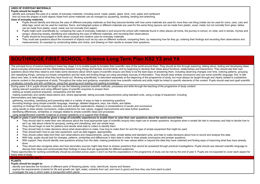# **USES OF EVERYDAY MATERIALS**

### **Pupils should be taught to:**

. identify and compare the uses of a variety of everyday materials, including wood, metal, plastic, glass, brick, rock, paper and cardboard

. find out how the shapes of solid objects made from some materials can be changed by squashing, bending, twisting and stretching.

# **Uses of everyday materials**

- Pupils should identify and discuss the uses of different everyday materials so that they become familiar with how some materials are used for more than one thing (metal can be used for coins, cans, cars and table legs; wood can be used for matches, floors, and telegraph poles) or different materials are used for the same thing (spoons can be made from plastic, wood, metal, but not normally from glass; tables can be made from plastic, wood, metal, but not normally from paper).
- Pupils might work scientifically by: comparing the uses of everyday materials in and around the school with materials found in other places (at home, the journey to school, on visits, and in stories, rhymes and songs); observing closely, identifying and classifying the uses of different materials, and recording their observations.
- Pupils should be encouraged to think about unusual and creative uses for everyday materials.
- They could ask questions about the movement of objects such as toy cars on different surfaces; comparing them, by measuring how far they go; ordering their findings and recording their observations and measurements, for example by constructing tables and charts, and drawing on their results to answer their questions.

# **SOUTHRIDGE FIRST SCHOOL - Science Long Term Plan KS2 Y3 and Y4**

| The principal focus of science teaching in lower key stage 2 is to enable pupils to broaden their scientific view of the world around them. They should do this through exploring, talking about, testing and developing ideas<br>about everyday phenomena and the relationships between living things and familiar environments, and by beginning to develop their ideas about functions, relationships and interactions. They should ask their own<br>questions about what they observe and make some decisions about which types of scientific enquiry are likely to be the best ways of answering them, including observing changes over time, noticing patterns, grouping<br>and classifying things, carrying out simple comparative and fair tests and finding things out using secondary sources of information. They should draw simple conclusions and use some scientific language, first, to talk<br>about and, later, to write about what they have found out. Working scientifically' is described separately at the beginning of the programme of study, but must always be taught through and clearly related to substantive<br>science content in the programme of study. Throughout the notes and guidance, examples show how scientific methods and skills might be linked to specific elements of the content. Pupils should read and spell scientific<br>vocabulary correctly and with confidence, using their growing word reading and spelling knowledge. |  |  |  |  |
|---------------------------------------------------------------------------------------------------------------------------------------------------------------------------------------------------------------------------------------------------------------------------------------------------------------------------------------------------------------------------------------------------------------------------------------------------------------------------------------------------------------------------------------------------------------------------------------------------------------------------------------------------------------------------------------------------------------------------------------------------------------------------------------------------------------------------------------------------------------------------------------------------------------------------------------------------------------------------------------------------------------------------------------------------------------------------------------------------------------------------------------------------------------------------------------------------------------------------------------------------------------------------------------------------------------------------------------------------------------------------------------------------------------------------------------------------------------------------------|--|--|--|--|
| During years 3 & 4, pupils should be taught to use the following practical scientific methods, processes and skills through the teaching of the programme of study content:                                                                                                                                                                                                                                                                                                                                                                                                                                                                                                                                                                                                                                                                                                                                                                                                                                                                                                                                                                                                                                                                                                                                                                                                                                                                                                     |  |  |  |  |
| asking relevant questions and using different types of scientific enquiries to answer them                                                                                                                                                                                                                                                                                                                                                                                                                                                                                                                                                                                                                                                                                                                                                                                                                                                                                                                                                                                                                                                                                                                                                                                                                                                                                                                                                                                      |  |  |  |  |
| setting up simple practical enquiries, comparative and fair tests                                                                                                                                                                                                                                                                                                                                                                                                                                                                                                                                                                                                                                                                                                                                                                                                                                                                                                                                                                                                                                                                                                                                                                                                                                                                                                                                                                                                               |  |  |  |  |
| . making systematic and careful observations and, where appropriate, taking accurate measurements using standard units, using a range of equipment, including                                                                                                                                                                                                                                                                                                                                                                                                                                                                                                                                                                                                                                                                                                                                                                                                                                                                                                                                                                                                                                                                                                                                                                                                                                                                                                                   |  |  |  |  |
| thermometers and data loggers                                                                                                                                                                                                                                                                                                                                                                                                                                                                                                                                                                                                                                                                                                                                                                                                                                                                                                                                                                                                                                                                                                                                                                                                                                                                                                                                                                                                                                                   |  |  |  |  |
| gathering, recording, classifying and presenting data in a variety of ways to help in answering questions                                                                                                                                                                                                                                                                                                                                                                                                                                                                                                                                                                                                                                                                                                                                                                                                                                                                                                                                                                                                                                                                                                                                                                                                                                                                                                                                                                       |  |  |  |  |
| . recording findings using simple scientific language, drawings, labelled diagrams, keys, bar charts, and tables                                                                                                                                                                                                                                                                                                                                                                                                                                                                                                                                                                                                                                                                                                                                                                                                                                                                                                                                                                                                                                                                                                                                                                                                                                                                                                                                                                |  |  |  |  |
| . reporting on findings from enquiries, including oral and written explanations, displays or presentations of results and conclusions                                                                                                                                                                                                                                                                                                                                                                                                                                                                                                                                                                                                                                                                                                                                                                                                                                                                                                                                                                                                                                                                                                                                                                                                                                                                                                                                           |  |  |  |  |
| using results to draw simple conclusions, make predictions for new values, suggest improvements and raise further questions                                                                                                                                                                                                                                                                                                                                                                                                                                                                                                                                                                                                                                                                                                                                                                                                                                                                                                                                                                                                                                                                                                                                                                                                                                                                                                                                                     |  |  |  |  |
| identifying differences, similarities or changes related to simple scientific ideas and processes                                                                                                                                                                                                                                                                                                                                                                                                                                                                                                                                                                                                                                                                                                                                                                                                                                                                                                                                                                                                                                                                                                                                                                                                                                                                                                                                                                               |  |  |  |  |
| . using straightforward scientific evidence to answer questions or to support their findings.                                                                                                                                                                                                                                                                                                                                                                                                                                                                                                                                                                                                                                                                                                                                                                                                                                                                                                                                                                                                                                                                                                                                                                                                                                                                                                                                                                                   |  |  |  |  |
| Pupils in years 3 and 4 should be given a range of scientific experiences to enable them to raise their own questions about the world around them.                                                                                                                                                                                                                                                                                                                                                                                                                                                                                                                                                                                                                                                                                                                                                                                                                                                                                                                                                                                                                                                                                                                                                                                                                                                                                                                              |  |  |  |  |
| They should start to make their own decisions about the most appropriate type of scientific enquiry they might use to answer questions; recognise when a simple fair test is necessary and help to decide how to<br>$\bullet$                                                                                                                                                                                                                                                                                                                                                                                                                                                                                                                                                                                                                                                                                                                                                                                                                                                                                                                                                                                                                                                                                                                                                                                                                                                   |  |  |  |  |
| set it up; talk about criteria for grouping, sorting and classifying; and use simple keys.                                                                                                                                                                                                                                                                                                                                                                                                                                                                                                                                                                                                                                                                                                                                                                                                                                                                                                                                                                                                                                                                                                                                                                                                                                                                                                                                                                                      |  |  |  |  |
| They should begin to look for patterns and decide what data to collect to identify them.                                                                                                                                                                                                                                                                                                                                                                                                                                                                                                                                                                                                                                                                                                                                                                                                                                                                                                                                                                                                                                                                                                                                                                                                                                                                                                                                                                                        |  |  |  |  |
| They should help to make decisions about what observations to make, how long to make them for and the type of simple equipment that might be used.                                                                                                                                                                                                                                                                                                                                                                                                                                                                                                                                                                                                                                                                                                                                                                                                                                                                                                                                                                                                                                                                                                                                                                                                                                                                                                                              |  |  |  |  |
| They should learn how to use new equipment, such as data loggers, appropriately.                                                                                                                                                                                                                                                                                                                                                                                                                                                                                                                                                                                                                                                                                                                                                                                                                                                                                                                                                                                                                                                                                                                                                                                                                                                                                                                                                                                                |  |  |  |  |
| They should collect data from their own observations and measurements, using notes, simple tables and standard units, and help to make decisions about how to record and analyse this data.                                                                                                                                                                                                                                                                                                                                                                                                                                                                                                                                                                                                                                                                                                                                                                                                                                                                                                                                                                                                                                                                                                                                                                                                                                                                                     |  |  |  |  |
| With help, pupils should look for changes, patterns, similarities and differences in their data in order to draw simple conclusions and answer questions.                                                                                                                                                                                                                                                                                                                                                                                                                                                                                                                                                                                                                                                                                                                                                                                                                                                                                                                                                                                                                                                                                                                                                                                                                                                                                                                       |  |  |  |  |
| With support, they should identify new questions arising from the data, making predictions for new values within or beyond the data they have collected and finding ways of improving what they have already                                                                                                                                                                                                                                                                                                                                                                                                                                                                                                                                                                                                                                                                                                                                                                                                                                                                                                                                                                                                                                                                                                                                                                                                                                                                    |  |  |  |  |
| done.                                                                                                                                                                                                                                                                                                                                                                                                                                                                                                                                                                                                                                                                                                                                                                                                                                                                                                                                                                                                                                                                                                                                                                                                                                                                                                                                                                                                                                                                           |  |  |  |  |
| They should also recognise when and how secondary sources might help them to answer questions that cannot be answered through practical investigations. Pupils should use relevant scientific language to<br>$\bullet$                                                                                                                                                                                                                                                                                                                                                                                                                                                                                                                                                                                                                                                                                                                                                                                                                                                                                                                                                                                                                                                                                                                                                                                                                                                          |  |  |  |  |
| discuss their ideas and communicate their findings in ways that are appropriate for different audiences.                                                                                                                                                                                                                                                                                                                                                                                                                                                                                                                                                                                                                                                                                                                                                                                                                                                                                                                                                                                                                                                                                                                                                                                                                                                                                                                                                                        |  |  |  |  |
| These opportunities for working scientifically should be provided across years 3 and 4 so that the expectations in the programme of study can be met by the end of year 4. Punils are not expected to cover each aspect for                                                                                                                                                                                                                                                                                                                                                                                                                                                                                                                                                                                                                                                                                                                                                                                                                                                                                                                                                                                                                                                                                                                                                                                                                                                     |  |  |  |  |

These opportunities for working scientifically should be provided across years 3 and 4 so that the expectations in the programme of study can be met by the end of year 4. Pupils are not expected to cover each aspect for every area of study.

# **Subject content for Year 3**

# **PLANTS**

# **Pupils should be taught to:**

**.** identify and describe the functions of different parts of flowering plants: roots, stem/trunk, leaves and flowers

- . explore the requirements of plants for life and growth (air, light, water, nutrients from soil, and room to grow) and how they vary from plant to plant
- . investigate the way in which water is transported within plants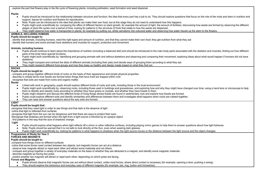. explore the part that flowers play in the life cycle of flowering plants, including pollination, seed formation and seed dispersal.

# **Plants**

- Pupils should be introduced to the relationship between structure and function: the idea that every part has a job to do. They should explore questions that focus on the role of the roots and stem in nutrition and support, leaves for nutrition and flowers for reproduction.
- Note: Pupils can be introduced to the idea that plants can make their own food, but at this stage they do not need to understand how this happens.
- Pupils might work scientifically by: comparing the effect of different factors on plant growth, for example the amount of light, the amount of fertiliser; discovering how seeds are formed by observing the different stages of plant life cycles over a period of time; looking for patterns in the structure of fruits that relate to how the seeds are dispersed.
- They might observe how water is transported in plants, for example by putting cut, white carnations into coloured water and observing how water travels up the stem to the flowers.

# **ANIMALS, INCLUDING HUMANS**

# **Pupils should be taught to:**

- . identify that animals, including humans, need the right types and amount of nutrition, and that they cannot make their own food; they get nutrition from what they eat
- . identify that humans and some animals have skeletons and muscles for support, protection and movement.

# **Animals, including humans**

- Pupils should continue to learn about the importance of nutrition (including a balanced diet) and should be introduced to the main body parts associated with the skeleton and muscles, finding out how different parts of the body have special functions.
- Pupils might work scientifically by: identifying and grouping animals with and without skeletons and observing and comparing their movement; exploring ideas about what would happen if humans did not have skeletons.
- They might compare and contrast the diets of different animals (including their pets) and decide ways of grouping them according to what they eat.
- They might research different food groups and how they keep us healthy and design meals based on what they find out.

# **ROCKS**

# **Pupils should be taught to:**

- **.** compare and group together different kinds of rocks on the basis of their appearance and simple physical properties
- . describe in simple terms how fossils are formed when things that have lived are trapped within rock
- . recognise that soils are made from rocks and organic matter.

# **Rocks**

- Linked with work in geography, pupils should explore different kinds of rocks and soils, including those in the local environment.
- Pupils might work scientifically by: observing rocks, including those used in buildings and gravestones, and exploring how and why they might have changed over time; using a hand lens or microscope to help them to identify and classify rocks according to whether they have grains or crystals, and whether they have fossils in them.
- Pupils might research and discuss the different kinds of living things whose fossils are found in sedimentary rock and explore how fossils are formed.
- Pupils could explore different soils and identify similarities and differences between them and investigate what happens when rocks are rubbed together.
- **●** They can raise and answer questions about the way soils are formed.

# **LIGHT**

# **Pupils should be taught that:**

**.**recognise that they need light in order to see things and that dark is the absence of light

.notice that light is reflected from surfaces

.recognise that light from the sun can be dangerous and that there are ways to protect their eyes

.Recognise that shadows are formed when the light from a light source is blocked by an opaque object

. find patterns in the way that the size of shadows change.

**Light**

- Pupils should explore what happens when light reflects off a mirror or other reflective surfaces, including playing mirror games to help them to answer questions about how light behaves.
- Note: Pupils should be warned that it is not safe to look directly at the Sun, even when wearing dark glasses.
- Pupils might work scientifically by: looking for patterns in what happens to shadows when the light source moves or the distance between the light source and the object changes.

# **Programmes of Study for Year 3**

# **FORCES AND MAGNETS**

# **Pupils should be taught to:**

**.**compare how things move on different surfaces

notice that some forces need contact between two objects, but magnetic forces can act at a distance

- . observe how magnets attract or repel each other and attract some materials and not others
- . compare and group together a variety of everyday materials on the basis of whether they are attracted to a magnet, and identify some magnetic materials

. describe magnets as having two poles

. predict whether two magnets will attract or repel each other, depending on which poles are facing.

# **Forces and Magnets**

- Pupils should observe that magnetic forces can act without direct contact, unlike most forces, where direct contact is necessary (for example, opening a door, pushing a swing).
- They should explore the behaviour and everyday uses of different magnets (for example, bar, ring, button and horseshoe).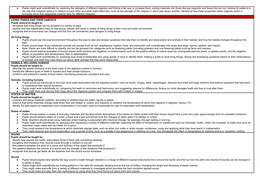Pupils might work scientifically by: exploring the strengths of different magnets and finding a fair way to compare them: sorting materials into those that are magnetic and those that are not: looking for patterns in the way that magnets behave in relation to each other and what might affect this, such as the strength of the magnet or which pole faces another; identifying how these properties make magnets useful in everyday items and suggesting creative uses for different magnets.

# **Subject content for Year 4**

# **LIVING THINGS AND THEIR HABITATS**

# **Pupils should be taught to:**

- . recognise that living things can be grouped in a variety of ways
- . explore and use classification keys to help group, identify and name a variety of living things in their local and wider environment
- . recognise that environments can change and that this can sometimes pose dangers to living things.

# **All living things**

- Pupils should use the local environment throughout the year to aise and answer questions that help them to identify and study plants and animals in their habitat; and how the habitat changes throughout the year.
- Pupils should begin to put vertebrate animals into groups such as fish, amphibians, reptiles, birds, and mammals; and invertebrates into snails and slugs, worms, spiders, and insects.
- Note: Plants are more difficult to classify, but can be grouped into categories such as flowering plants (including grasses) and non-flowering plants such as ferns and mosses.
- Pupils should explore examples of human impact (both positive and negative) on environments such as the positive effects of nature reserves, ecologically planned parks, or garden ponds, and the negative effects of population and development, litter or deforestation.
- Pupils might work scientifically by: exploring local small invertebrates and using quides or keys to identify them; making a quide to local living things; raising and answering questions based on their observations of animals and what they have found out about other animals that they have researched.

# **ANIMALS, INCLUDING HUMANS**

# **Pupils should be taught to:**

. describe the simple functions of the basic parts of the digestive system in humans

. identify the different types of teeth in humans and their simple functions

. construct and interpret a variety of food chains, identifying producers, predators and prey.

# **Animals, including humans**

- Pupils should be introduced to the main body parts associated with the digestive system, such as mouth, tongue, teeth, oesophagus, stomach and small and large intestine and explore questions that help them to understand their special functions.
- Pupils might work scientifically by: comparing the teeth of carnivores and herbivores, and suggesting reasons for differences; finding out what damages teeth and how to look after them.
- They might draw and discuss their ideas about the digestive system and compare them with models or images.

# **STATES OF MATTER**

# **Pupils should be taught to:**

- **.** compare and group materials together, according to whether they are solids, liquids or gases
- . observe that some materials change state when they are heated or cooled, and measure or research the temperature at which this happens in degrees Celsius (°C)
- . identify the part played by evaporation and condensation in the water cycle and associate the rate of evaporation with temperature.

# **States of matter**

- Pupils should explore a variety of everyday materials and develop simple descriptions of the states of matter (solids hold their shape; liquids form a pool not a pile; gases escape from an unsealed container).
- Pupils should observe water as a solid, a liquid and a gas and should note the changes to water when it is heated or cooled.
- Note: Teachers should avoid using materials where heating is associated with chemical change, for example, through baking or burning.
- Pupils might work scientifically by: grouping and classifying a variety of different materials; exploring the effect of temperature on substances such as chocolate, butter, cream (for example, to make food such as chocolate crispy cakes and ice-cream for a party).
- They could research the temperature at which materials change state, such as when iron melts or when oxygen condenses, using and applying what they have learnt in mathematics.
- They might observe and record evaporation over a period of time, such as a puddle in the playground or washing on a line, and investigate the effect of temperature on washing or snowmen melting.

# **SOUND**

# **Pupils should be taught to:**

- . identify how sounds are made, associating some of them with something vibrating
- . recognise that vibrations from sounds travel through a medium to the ear
- . find patterns between the pitch of a sound and features of the object that produced it
- . find patterns between the volume of a sound and the strength of the vibrations that produced it.
- . recognise that sounds get faster as the distance from the sound source increases

# **Sound**

- Pupils should explore and identify the way sound is made through vibration in a range of different musical instruments from around the world; and find out how the pitch and volume of sounds can be changed in a variety of ways.
- Pupils might work scientifically by: finding patterns in the data (for example, blowing across the top of bottles, changing the length and thickness of elastic bands).
- They might make earmuffs from a variety of different materials to investigate which provides the best insulation against sound.
- They could make and play their own instruments by using what they have found out about pitch and volume.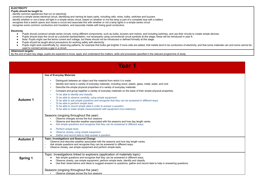# **ELECTRICITY**

# **Pupils should be taught to:**

- . identify common appliances that run on electricity
- . construct a simple series electrical circuit, identifying and naming its basic parts, including cells, wires, bulbs, switches and buzzers
- . identify whether or not a lamp will light in a simple series circuit, based on whether or not the lamp is part of a complete loop with a battery
- . recognise that a switch opens and closes a circuit and associate this with whether or not a lamp lights in a simple series circuit
- . recognise some common conductors and insulators, and associate metals with being good conductors.

# **Electricity**

- Pupils should construct simple series circuits, trying different components, such as bulbs, buzzers and motors, and including switches, and use their circuits to create simple devices.
- Pupils should draw the circuit as a pictorial representation, not necessarily using conventional circuit symbols at this stage; these will be introduced in year 6.
- Note: Pupils might use the terms current and voltage, but these should not be introduced or defined formally at this stage.
- Pupils should be taught about precautions for working safely with electricity.
- Pupils might work scientifically by: observing patterns, for example that bulbs get brighter if more cells are added, that metals tend to be conductors of electricity, and that some materials can and some cannot be used to connect across a gap in a circuit.

# **Attainment targets:**

By the end of each key stage, pupils are expected to know, apply and understand the matters, skills and processes specified in the relevant programme of study.

| Year <sub>1</sub> |                                                                                                                                                                                                                                                                                                                                                                                                                                                                                                                                                                                                                                                                                                                                                                                                                                                                                                                                                                                                                                                                                                                                                                                                                                              |  |
|-------------------|----------------------------------------------------------------------------------------------------------------------------------------------------------------------------------------------------------------------------------------------------------------------------------------------------------------------------------------------------------------------------------------------------------------------------------------------------------------------------------------------------------------------------------------------------------------------------------------------------------------------------------------------------------------------------------------------------------------------------------------------------------------------------------------------------------------------------------------------------------------------------------------------------------------------------------------------------------------------------------------------------------------------------------------------------------------------------------------------------------------------------------------------------------------------------------------------------------------------------------------------|--|
| Autumn 1          | <b>Use of Everyday Materials</b><br>Distinguish between an object and the material from which it is made<br>$\blacksquare$<br>Identify and name a variety of everyday materials, including wood, plastic, glass, metal, water, and rock<br>$\blacksquare$<br>Describe the simple physical properties of a variety of everyday materials<br>$\blacksquare$<br>Compare and group together a variety of everyday materials on the basis of their simple physical properties.<br>$\blacksquare$<br>To be able to identify and classify.<br>×.<br>To be able to observe carefully, using simple equipment.<br>To be able to ask simple questions and recognise that they can be answered in different ways.<br>To be able to perform simple tests.<br>×<br>To be able to record simple data in order to answer a question.<br>٠<br>To be able to make simple measurements with equipment (non-statutory).<br>٠<br>Seasons (ongoing throughout the year)<br>Observe changes across the four seasons<br>Observe and describe weather associated with the seasons and how day length varies.<br>$\blacksquare$<br>Ask simple questions and recognise that they can be answered in different ways.<br>$\bullet$<br>Perform simple tests.<br>$\bullet$ |  |
| <b>Autumn 2</b>   | Observe closely, using simple equipment.<br>Gather and record data to help answer a question.<br>Topic: Investigations and Seasonal Change<br>Observe and describe weather associated with the seasons and how day length varies.<br>Ask simple questions and recognise they can be answered in different ways.<br>Observe closely, use simple equipment and perform simple tests.                                                                                                                                                                                                                                                                                                                                                                                                                                                                                                                                                                                                                                                                                                                                                                                                                                                           |  |
| <b>Spring 1</b>   | Topic: Investigations linked to explorers (application of materials topic)<br>Ask simple questions and recognise that they can be answered in different ways.<br>Observe closely, use simple equipment, perform simple tests, identify and classify<br>Use their observations and ideas to suggest answers to questions, gather and record data to help in answering questions.<br>$\bullet$<br>Seasons (ongoing throughout the year)<br>Observe changes across the four seasons                                                                                                                                                                                                                                                                                                                                                                                                                                                                                                                                                                                                                                                                                                                                                             |  |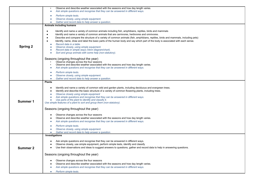|                 | Observe and describe weather associated with the seasons and how day length varies.<br>٠                                                                                                                                                                                                                                                                                                                                                                                                                                                     |
|-----------------|----------------------------------------------------------------------------------------------------------------------------------------------------------------------------------------------------------------------------------------------------------------------------------------------------------------------------------------------------------------------------------------------------------------------------------------------------------------------------------------------------------------------------------------------|
|                 | Ask simple questions and recognise that they can be answered in different ways.<br>$\bullet$                                                                                                                                                                                                                                                                                                                                                                                                                                                 |
|                 | Perform simple tests.<br>$\bullet$                                                                                                                                                                                                                                                                                                                                                                                                                                                                                                           |
|                 | Observe closely, using simple equipment.<br>$\bullet$<br>Gather and record data to help answer a question.<br>$\bullet$                                                                                                                                                                                                                                                                                                                                                                                                                      |
|                 | Animals including humans                                                                                                                                                                                                                                                                                                                                                                                                                                                                                                                     |
|                 | Identify and name a variety of common animals including fish, amphibians, reptiles, birds and mammals<br>$\bullet$<br>Identify and name a variety of common animals that are carnivores, herbivores and omnivores.<br>$\bullet$<br>Describe and compare the structure of a variety of common animals (fish, amphibians, reptiles, birds and mammals, including pets)<br>$\bullet$<br>Identify, name, draw and label the basic parts of the human body and say which part of the body is associated with each sense.                          |
|                 | Record data in a table.<br>$\bullet$                                                                                                                                                                                                                                                                                                                                                                                                                                                                                                         |
| <b>Spring 2</b> | Observe closely, using simple equipment.<br>$\bullet$<br>Record data in simple ways (Venn diagram/chart).<br>$\bullet$<br>Sort and group animals with some help (non-statutory).<br>$\bullet$                                                                                                                                                                                                                                                                                                                                                |
|                 | Seasons (ongoing throughout the year)<br>Observe changes across the four seasons<br>Observe and describe weather associated with the seasons and how day length varies.<br>٠<br>Ask simple questions and recognise that they can be answered in different ways.<br>$\bullet$                                                                                                                                                                                                                                                                 |
|                 | Perform simple tests.<br>$\bullet$                                                                                                                                                                                                                                                                                                                                                                                                                                                                                                           |
|                 | Observe closely, using simple equipment.<br>$\bullet$                                                                                                                                                                                                                                                                                                                                                                                                                                                                                        |
|                 | Gather and record data to help answer a question.<br>$\bullet$<br><b>Plants</b>                                                                                                                                                                                                                                                                                                                                                                                                                                                              |
| Summer 1        | Identify and name a variety of common wild and garden plants, including deciduous and evergreen trees.<br>$\bullet$<br>Identify and describe the basic structure of a variety of common flowering plants, including trees.<br>$\bullet$<br>Observe closely using simple equipment<br>$\bullet$<br>Ask simple questions and recognise that they can be answered in different ways.<br>$\bullet$<br>Use parts of the plant to identify and classify it.<br>$\bullet$<br>Use simple features of a plant to sort and group them (non-statutory). |
|                 | Seasons (ongoing throughout the year)                                                                                                                                                                                                                                                                                                                                                                                                                                                                                                        |
|                 | Observe changes across the four seasons<br>$\bullet$<br>Observe and describe weather associated with the seasons and how day length varies.<br>Ask simple questions and recognise that they can be answered in different ways.<br>$\bullet$<br>Perform simple tests.<br>$\bullet$<br>Observe closely, using simple equipment.<br>Gather and record data to help answer a question.                                                                                                                                                           |
|                 | Investigations                                                                                                                                                                                                                                                                                                                                                                                                                                                                                                                               |
| <b>Summer 2</b> | Ask simple questions and recognise that they can be answered in different ways.<br>Observe closely, use simple equipment, perform simple tests, identify and classify<br>Use their observations and ideas to suggest answers to questions, gather and record data to help in answering questions.                                                                                                                                                                                                                                            |
|                 | Seasons (ongoing throughout the year)                                                                                                                                                                                                                                                                                                                                                                                                                                                                                                        |
|                 | Observe changes across the four seasons<br>Observe and describe weather associated with the seasons and how day length varies.<br>Ask simple questions and recognise that they can be answered in different ways.<br>٠<br>Perform simple tests.<br>$\bullet$                                                                                                                                                                                                                                                                                 |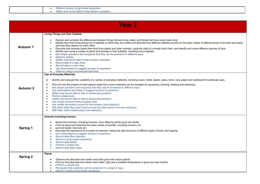|  | Observe closely, using simple equipment.          |
|--|---------------------------------------------------|
|  | Gather and record data to help answer a question. |

| <b>Year 2</b>   |                                                                                                                                                                                                                                                                                                                                                                                                                                                                                                                                                                                                                                                                                                                                                                                                                                                                                                                                                                                                                                                                      |  |  |
|-----------------|----------------------------------------------------------------------------------------------------------------------------------------------------------------------------------------------------------------------------------------------------------------------------------------------------------------------------------------------------------------------------------------------------------------------------------------------------------------------------------------------------------------------------------------------------------------------------------------------------------------------------------------------------------------------------------------------------------------------------------------------------------------------------------------------------------------------------------------------------------------------------------------------------------------------------------------------------------------------------------------------------------------------------------------------------------------------|--|--|
| Autumn 1        | <b>Living Things and their Habitats</b><br>Explore and compare the differences between things that are living, dead, and things that have never been alive.<br>Identify that most living things live in habitats to which they are suited and describe how different habitats provide for the basic needs of different kinds of animals and plants,<br>and how they depend on each other.<br>Describe how animals obtain their food from plants and other animals, using the idea of a simple food chain, and identify and name different sources of food.<br>Identify and name a variety of plants and animals in their habitats, including micro-habitats.<br>Ask simple questions and recognise that they can be answered in different ways.<br>$\bullet$<br>Observe closely.<br>$\bullet$<br>Gather and record data to help answer a question.<br>$\bullet$<br>Record data in a tally chart.<br>Record data in a bar chart.<br>$\bullet$<br>Use observations to suggest answers to questions.<br>$\bullet$<br>Observe using a microscope/hand lens.<br>$\bullet$ |  |  |
| <b>Autumn 2</b> | <b>Use of Everyday Materials</b><br>Identify and compare the suitability of a variety of everyday materials, including wood, metal, plastic, glass, brick, rock, paper and cardboard for particular uses.<br>$\bullet$<br>Find out how the shapes of solid objects made from some materials can be changed by squashing, bending, twisting and stretching.<br>$\bullet$<br>Ask simple questions and recognise that they can be answered in different ways.<br>$\bullet$<br>Use observations and ideas to suggest answers to questions.<br>$\bullet$<br>Gather and record data to help in answering questions.<br>$\bullet$<br>• Perform simple tests.<br>Gather and record data to help in answering questions.<br>$\bullet$<br>Use simple measurements to gather data.<br>$\bullet$<br>Use simple secondary sources to find answers (non-statutory).<br>$\bullet$<br>Talk about what they have found out and how they found it out (non-statutory).<br>$\bullet$<br>With help, notice relationships (non-statutory).<br>$\bullet$                                   |  |  |
| Spring 1        | <b>Animals Including humans</b><br>Notice that animals, including humans, have offspring which grow into adults<br>Find out about and describe the basic needs of animals, including humans, for<br>survival (water, food and air)<br>Describe the importance for humans of exercise, eating the right amounts of different types of food, and hygiene.<br>Use observations to suggest answers to questions.<br>Record data (flow diagram).<br>$\bullet$<br>Observe using simple equipment.<br>$\bullet$<br>Record data (table).<br>$\bullet$<br>Perform a simple test.<br>Record data (tally chart).<br>$\bullet$                                                                                                                                                                                                                                                                                                                                                                                                                                                   |  |  |
| <b>Spring 2</b> | <b>Plants</b><br>Observe and describe how seeds and bulbs grow into mature plants<br>Find out and describe how plants need water, light and a suitable temperature to grow and stay healthy.<br>$\bullet$<br>Perform a simple test.<br>Recognise that questions can be answered in a range of ways.<br>Observe closely using simple equipment.<br>$\bullet$                                                                                                                                                                                                                                                                                                                                                                                                                                                                                                                                                                                                                                                                                                          |  |  |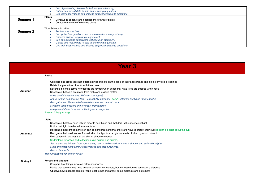|          | Sort objects using observable features (non-statutory).<br>Gather and record date to help in answering a question.<br>Use their observations and ideas to suggest answers to questions                                                                                             |
|----------|------------------------------------------------------------------------------------------------------------------------------------------------------------------------------------------------------------------------------------------------------------------------------------|
| Summer 1 | <b>Plants</b><br>Continue to observe and describe the growth of plants<br>Compare a variety of flowering plants                                                                                                                                                                    |
| Summer 2 | Wow Science Activities:<br>Perform a simple test.<br>Recognise that questions can be answered in a range of ways.<br>Observe closely using simple equipment.<br>Sort objects using observable features (non-statutory).<br>Gather and record date to help in answering a question. |
|          | Use their observations and ideas to suggest answers to questions                                                                                                                                                                                                                   |

|                     | Year <sub>3</sub>                                                                                                                                                                                                                                                                                                                                                                                                                                                                                                                                                                                                                                                                                                                                                |
|---------------------|------------------------------------------------------------------------------------------------------------------------------------------------------------------------------------------------------------------------------------------------------------------------------------------------------------------------------------------------------------------------------------------------------------------------------------------------------------------------------------------------------------------------------------------------------------------------------------------------------------------------------------------------------------------------------------------------------------------------------------------------------------------|
| Autumn 1            | <b>Rocks</b><br>Compare and group together different kinds of rocks on the basis of their appearance and simple physical properties<br>Relate the properties of rocks with their uses<br>Describe in simple terms how fossils are formed when things that have lived are trapped within rock<br>Recognise that soils are made from rocks and organic matter.<br>Make careful observations, (different rock types)<br>Set up simple comparative test- Permeability, hardness, acidity, different soil types (permeability)<br>Recognise the difference between Manmade and natural rocks<br>Measure using beakers and syringes- Permeability,<br>Use presentations to report on findings from enquiries<br><b>Research Mary Anning</b>                            |
| Autumn <sub>2</sub> | Light<br>Recognise that they need light in order to see things and that dark is the absence of light<br>Notice that light is reflected from surfaces<br>Recognise that light from the sun can be dangerous and that there are ways to protect their eyes (design a poster about the sun)<br>Recognise that shadows are formed when the light from a light source is blocked by a solid object<br>Find patterns in the way that the size of shadows change<br>Understand refraction and reflection using mirrors and prisms.<br>Set up a simple fair test (how light moves, how to make shadow, move a shadow and split/reflect light).<br>Make systematic and careful observations and measurements.<br>Record in a table<br>Make predictions for further values |
| Spring 1            | <b>Forces and Magnets</b><br>Compare how things move on different surfaces<br>Notice that some forces need contact between two objects, but magnetic forces can act at a distance<br>Observe how magnets attract or repel each other and attract some materials and not others                                                                                                                                                                                                                                                                                                                                                                                                                                                                                   |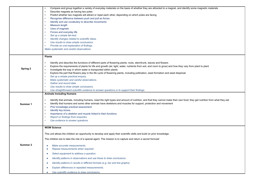|          | Compare and group together a variety of everyday materials on the basis of whether they are attracted to a magnet, and identify some magnetic materials<br>٠.               |
|----------|-----------------------------------------------------------------------------------------------------------------------------------------------------------------------------|
|          | Describe magnets as having two poles                                                                                                                                        |
|          | Predict whether two magnets will attract or repel each other, depending on which poles are facing.<br>$\blacksquare$                                                        |
|          | Recognise difference between push and pull as forces.<br>×                                                                                                                  |
|          | Identify and use vocabulary to describe movements<br>٠                                                                                                                      |
|          | <b>Measure length</b><br>٠                                                                                                                                                  |
|          | Uses of magnets<br>٠                                                                                                                                                        |
|          | Forces and everyday life.                                                                                                                                                   |
|          | Set up a simple fair-test.<br>×                                                                                                                                             |
|          | Identify changes related to scientific ideas.<br>×                                                                                                                          |
|          | Use results to draw simple conclusions.<br>×.                                                                                                                               |
|          | Provide an oral explanation of findings.<br>٠                                                                                                                               |
|          | Make systematic and careful observations                                                                                                                                    |
|          |                                                                                                                                                                             |
|          | <b>Plants</b>                                                                                                                                                               |
|          | Identify and describe the functions of different parts of flowering plants: roots, stem/trunk, leaves and flowers<br>٠                                                      |
|          | Explore the requirements of plants for life and growth (air, light, water, nutrients from soil, and room to grow) and how they vary from plant to plant<br>$\blacksquare$   |
| Spring 2 | Investigate the way in which water is transported within plants<br>٠                                                                                                        |
|          | Explore the part that flowers play in the life cycle of flowering plants, including pollination, seed formation and seed dispersal                                          |
|          | Set up a simple practical enquiry.                                                                                                                                          |
|          | Make systematic and careful observations.<br>×                                                                                                                              |
|          | Gather and record data.<br>×                                                                                                                                                |
|          | ٠                                                                                                                                                                           |
|          | Use results to draw simple conclusions.<br>Use straightforward scientific evidence to answer questions or to support their findings.                                        |
|          | <b>Animals Including Humans</b>                                                                                                                                             |
|          |                                                                                                                                                                             |
|          | Identify that animals, including humans, need the right types and amount of nutrition, and that they cannot make their own food; they get nutrition from what they eat<br>٠ |
| Summer 1 | Identify that humans and some other animals have skeletons and muscles for support, protection and movement<br>$\blacksquare$                                               |
|          | Prior knowledge practical assessment.<br>$\blacksquare$                                                                                                                     |
|          | Identify key bones.<br>٠                                                                                                                                                    |
|          | Importance of a skeleton and muscle linked to their functions.<br>٠                                                                                                         |
|          | Report on findings from enquiries.                                                                                                                                          |
|          | Use evidence to answer questions.<br>٠                                                                                                                                      |
|          | <b>WOW Science</b>                                                                                                                                                          |
|          |                                                                                                                                                                             |
|          | This unit allows the children an opportunity to develop and apply their scientific skills and build on prior knowledge.                                                     |
|          | The children are to take the role of a special agent. The mission is to capture and return a secret formula!                                                                |
| Summer 2 | Make accurate measurements.                                                                                                                                                 |
|          | Repeat measurements when required.                                                                                                                                          |
|          |                                                                                                                                                                             |
|          | Select equipment to address a question.                                                                                                                                     |
|          | Identify patterns in observations and use these to draw conclusions.<br>$\bullet$                                                                                           |
|          | Identify patterns in results in different formats (e.g. bar and line graphs)<br>$\bullet$                                                                                   |
|          | Explain differences in repeated measurements.<br>$\bullet$                                                                                                                  |
|          | Use scientific evidence to draw conclusions.<br>$\bullet$                                                                                                                   |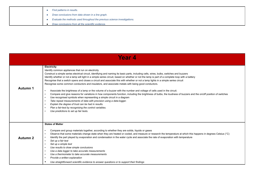|  | Find patterns in results.                                                 |
|--|---------------------------------------------------------------------------|
|  | Draw conclusions from data shown in a line graph.                         |
|  | Evaluate the methods used throughout the previous science investigations. |
|  | Draw conclusions from all the scientific evidence.                        |

|                 | Year 4                                                                                                                                                                                                                                                                                                                                                                                                                                                                                                                                                                                                                                                                                                                                                                                                                                                                                                                                                                                                                                                                                                                                                                                                                   |
|-----------------|--------------------------------------------------------------------------------------------------------------------------------------------------------------------------------------------------------------------------------------------------------------------------------------------------------------------------------------------------------------------------------------------------------------------------------------------------------------------------------------------------------------------------------------------------------------------------------------------------------------------------------------------------------------------------------------------------------------------------------------------------------------------------------------------------------------------------------------------------------------------------------------------------------------------------------------------------------------------------------------------------------------------------------------------------------------------------------------------------------------------------------------------------------------------------------------------------------------------------|
| <b>Autumn 1</b> | Electricity<br>Identify common appliances that run on electricity<br>Construct a simple series electrical circuit, identifying and naming its basic parts, including cells, wires, bulbs, switches and buzzers<br>Identify whether or not a lamp will light in a simple series circuit, based on whether or not the lamp is part of a complete loop with a battery<br>Recognise that a switch opens and closes a circuit and associate this with whether or not a lamp lights in a simple series circuit<br>Recognise some common conductors and insulators, and associate metals with being good conductors.<br>Associate the brightness of a lamp or the volume of a buzzer with the number and voltage of cells used in the circuit.<br>Compare and give reasons for variations in how components function, including the brightness of bulbs, the loudness of buzzers and the on/off position of switches<br>Use recognised symbols when representing a simple circuit in a diagram<br>Take repeat measurements of data with precision using a data-logger.<br>Explain the degree of trust can be had in results.<br>Plan a fair-test by recognising the control variables.<br>Use predictions to set up fair tests. |
| <b>Autumn 2</b> | <b>States of Matter</b><br>Compare and group materials together, according to whether they are solids, liquids or gases<br>$\blacksquare$<br>Observe that some materials change state when they are heated or cooled, and measure or research the temperature at which this happens in degrees Celsius (°C)<br>Identify the part played by evaporation and condensation in the water cycle and associate the rate of evaporation with temperature<br>Set up a fair test<br>Set up a simple test<br>Use results to draw simple conclusions<br>Use a data logger to take accurate measurements<br>$\blacksquare$<br>Use a thermometer to take accurate measurements<br>$\blacksquare$<br>Provide a written explanation<br>$\blacksquare$<br>Use straightforward scientific evidence to answer questions or to support their findings<br>٠                                                                                                                                                                                                                                                                                                                                                                                  |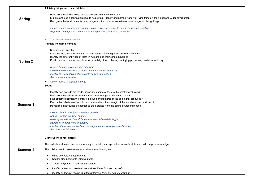|                 | All living things and their Habitats                                                                                                                                                                                                                                                                                                                                                                                                                                                                                                                              |
|-----------------|-------------------------------------------------------------------------------------------------------------------------------------------------------------------------------------------------------------------------------------------------------------------------------------------------------------------------------------------------------------------------------------------------------------------------------------------------------------------------------------------------------------------------------------------------------------------|
|                 | Recognise that living things can be grouped in a variety of ways<br>$\bullet$                                                                                                                                                                                                                                                                                                                                                                                                                                                                                     |
|                 | Explore and use classification keys to help group, identify and name a variety of living things in their local and wider environment<br>$\bullet$                                                                                                                                                                                                                                                                                                                                                                                                                 |
| <b>Spring 1</b> | Recognise that environments can change and that this can sometimes pose dangers to living things.<br>$\bullet$                                                                                                                                                                                                                                                                                                                                                                                                                                                    |
|                 |                                                                                                                                                                                                                                                                                                                                                                                                                                                                                                                                                                   |
|                 | Gather, record, classify and present data in a variety of ways to help in answering questions.<br>×                                                                                                                                                                                                                                                                                                                                                                                                                                                               |
|                 | Report on findings from enquiries, including oral and written explanations.<br><b>CO</b>                                                                                                                                                                                                                                                                                                                                                                                                                                                                          |
|                 |                                                                                                                                                                                                                                                                                                                                                                                                                                                                                                                                                                   |
|                 | n,<br>Zoolab-enrichment session                                                                                                                                                                                                                                                                                                                                                                                                                                                                                                                                   |
|                 | <b>Animals Including Humans</b>                                                                                                                                                                                                                                                                                                                                                                                                                                                                                                                                   |
|                 |                                                                                                                                                                                                                                                                                                                                                                                                                                                                                                                                                                   |
|                 | Nutrition and Digestion:<br>$\blacksquare$<br>Describe the simple functions of the basic parts of the digestive system in humans<br>$\blacksquare$                                                                                                                                                                                                                                                                                                                                                                                                                |
|                 | Identify the different types of teeth in humans and their simple functions<br>$\blacksquare$                                                                                                                                                                                                                                                                                                                                                                                                                                                                      |
|                 | Food chains - construct and interpret a variety of food chains, identifying producers, predators and prey.<br>$\blacksquare$                                                                                                                                                                                                                                                                                                                                                                                                                                      |
| <b>Spring 2</b> |                                                                                                                                                                                                                                                                                                                                                                                                                                                                                                                                                                   |
|                 | Record findings using labelled diagrams<br>×                                                                                                                                                                                                                                                                                                                                                                                                                                                                                                                      |
|                 | Use written explanations to report on findings from an enquiry                                                                                                                                                                                                                                                                                                                                                                                                                                                                                                    |
|                 | Identify the correct type of enquiry to answer a question<br>×                                                                                                                                                                                                                                                                                                                                                                                                                                                                                                    |
|                 | Set up a comparative test<br>o.                                                                                                                                                                                                                                                                                                                                                                                                                                                                                                                                   |
|                 | ×<br>Use evidence to support findings                                                                                                                                                                                                                                                                                                                                                                                                                                                                                                                             |
|                 | Sound                                                                                                                                                                                                                                                                                                                                                                                                                                                                                                                                                             |
|                 |                                                                                                                                                                                                                                                                                                                                                                                                                                                                                                                                                                   |
|                 | Identify how sounds are made, associating some of them with something vibrating<br>$\blacksquare$                                                                                                                                                                                                                                                                                                                                                                                                                                                                 |
|                 | Recognise that vibrations from sounds travel through a medium to the ear<br>$\bullet$                                                                                                                                                                                                                                                                                                                                                                                                                                                                             |
|                 | Find patterns between the pitch of a sound and features of the object that produced it<br>$\blacksquare$                                                                                                                                                                                                                                                                                                                                                                                                                                                          |
| <b>Summer 1</b> | Find patterns between the volume of a sound and the strength of the vibrations that produced it                                                                                                                                                                                                                                                                                                                                                                                                                                                                   |
|                 | Recognise that sounds get fainter as the distance from the sound source increases<br>$\bullet$                                                                                                                                                                                                                                                                                                                                                                                                                                                                    |
|                 | Use a scientific enquiry to answer a question<br>×                                                                                                                                                                                                                                                                                                                                                                                                                                                                                                                |
|                 | Set up a simple practical enquiry<br>×                                                                                                                                                                                                                                                                                                                                                                                                                                                                                                                            |
|                 |                                                                                                                                                                                                                                                                                                                                                                                                                                                                                                                                                                   |
|                 | ×                                                                                                                                                                                                                                                                                                                                                                                                                                                                                                                                                                 |
|                 |                                                                                                                                                                                                                                                                                                                                                                                                                                                                                                                                                                   |
|                 | Set up simple fair tests<br>×                                                                                                                                                                                                                                                                                                                                                                                                                                                                                                                                     |
|                 |                                                                                                                                                                                                                                                                                                                                                                                                                                                                                                                                                                   |
|                 | <b>Crime Scene Investigators</b>                                                                                                                                                                                                                                                                                                                                                                                                                                                                                                                                  |
|                 |                                                                                                                                                                                                                                                                                                                                                                                                                                                                                                                                                                   |
|                 |                                                                                                                                                                                                                                                                                                                                                                                                                                                                                                                                                                   |
| <b>Summer 2</b> | The children are to take the role of a crime scene investigator.                                                                                                                                                                                                                                                                                                                                                                                                                                                                                                  |
|                 | ٠                                                                                                                                                                                                                                                                                                                                                                                                                                                                                                                                                                 |
|                 | Repeat measurements when required.                                                                                                                                                                                                                                                                                                                                                                                                                                                                                                                                |
|                 | ٠                                                                                                                                                                                                                                                                                                                                                                                                                                                                                                                                                                 |
|                 |                                                                                                                                                                                                                                                                                                                                                                                                                                                                                                                                                                   |
|                 |                                                                                                                                                                                                                                                                                                                                                                                                                                                                                                                                                                   |
|                 | Make systematic and careful measurements with a data logger<br>×<br>Report on findings from an enquiry<br>Identify differences, similarities or changes related to simple scientific ideas<br>This unit allows the children an opportunity to develop and apply their scientific skills and build on prior knowledge.<br>Make accurate measurements.<br>Select equipment to address a question.<br>Identify patterns in observations and use these to draw conclusions.<br>٠<br>Identify patterns in results in different formats (e.g. bar and line graphs)<br>٠ |